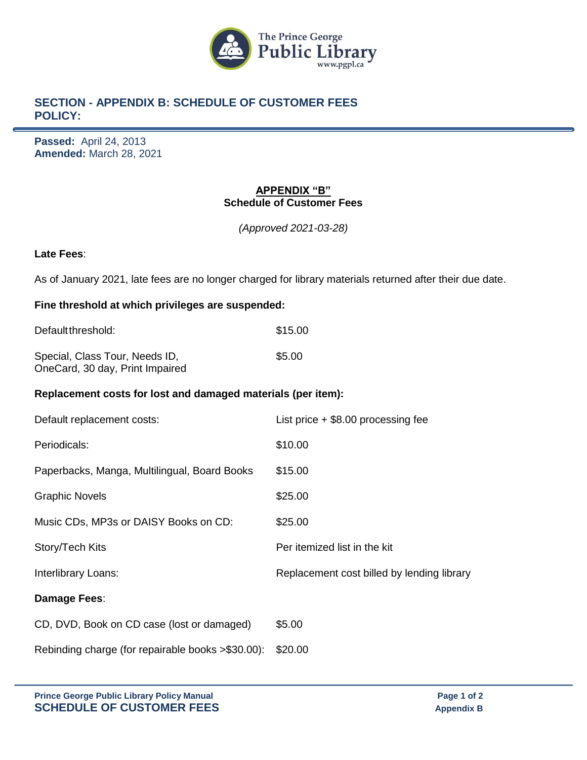

# **SECTION - APPENDIX B: SCHEDULE OF CUSTOMER FEES POLICY:**

**Passed:** April 24, 2013 **Amended:** March 28, 2021

### **APPENDIX "B" Schedule of Customer Fees**

*(Approved 2021-03-28)*

#### **Late Fees**:

As of January 2021, late fees are no longer charged for library materials returned after their due date.

### **Fine threshold at which privileges are suspended:**

| Default threshold:                                                | \$15.00 |
|-------------------------------------------------------------------|---------|
| Special, Class Tour, Needs ID,<br>OneCard, 30 day, Print Impaired | \$5.00  |

#### **Replacement costs for lost and damaged materials (per item):**

| Default replacement costs:                   | List price $+$ \$8.00 processing fee       |
|----------------------------------------------|--------------------------------------------|
| Periodicals:                                 | \$10.00                                    |
| Paperbacks, Manga, Multilingual, Board Books | \$15.00                                    |
| <b>Graphic Novels</b>                        | \$25.00                                    |
| Music CDs, MP3s or DAISY Books on CD:        | \$25.00                                    |
| Story/Tech Kits                              | Per itemized list in the kit               |
| Interlibrary Loans:                          | Replacement cost billed by lending library |
|                                              |                                            |
| Damage Fees:                                 |                                            |
| CD, DVD, Book on CD case (lost or damaged)   | \$5.00                                     |